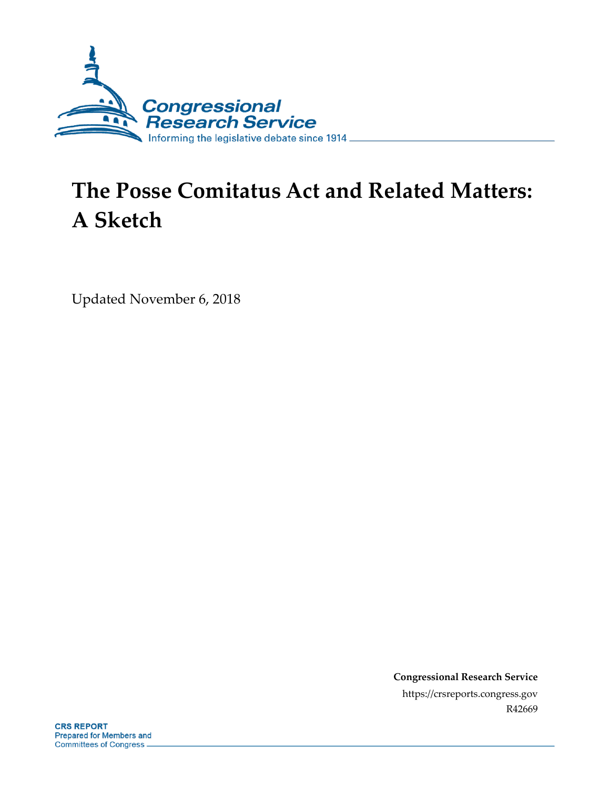

# **The Posse Comitatus Act and Related Matters: A Sketch**

Updated November 6, 2018

**Congressional Research Service** https://crsreports.congress.gov R42669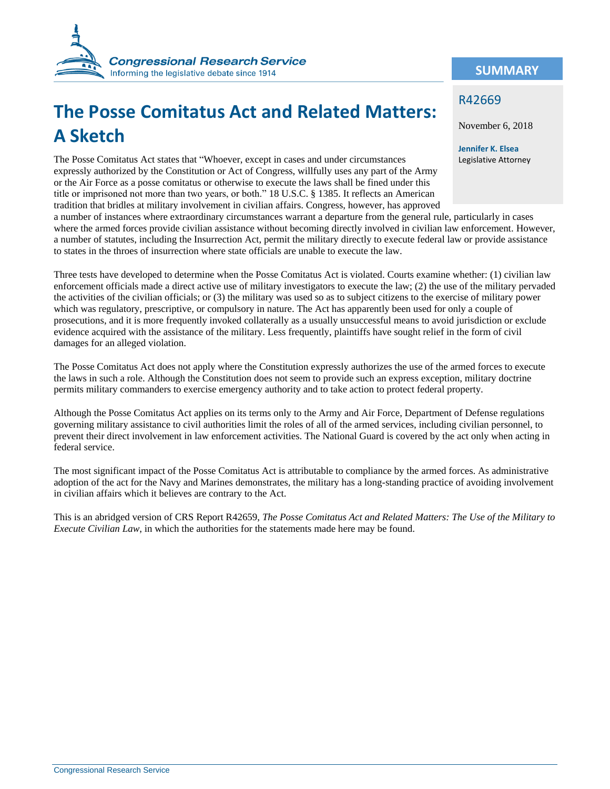

# **The Posse Comitatus Act and Related Matters: A Sketch**

The Posse Comitatus Act states that "Whoever, except in cases and under circumstances expressly authorized by the Constitution or Act of Congress, willfully uses any part of the Army or the Air Force as a posse comitatus or otherwise to execute the laws shall be fined under this title or imprisoned not more than two years, or both." 18 U.S.C. § 1385. It reflects an American tradition that bridles at military involvement in civilian affairs. Congress, however, has approved

a number of instances where extraordinary circumstances warrant a departure from the general rule, particularly in cases where the armed forces provide civilian assistance without becoming directly involved in civilian law enforcement. However, a number of statutes, including the Insurrection Act, permit the military directly to execute federal law or provide assistance to states in the throes of insurrection where state officials are unable to execute the law.

Three tests have developed to determine when the Posse Comitatus Act is violated. Courts examine whether: (1) civilian law enforcement officials made a direct active use of military investigators to execute the law; (2) the use of the military pervaded the activities of the civilian officials; or (3) the military was used so as to subject citizens to the exercise of military power which was regulatory, prescriptive, or compulsory in nature. The Act has apparently been used for only a couple of prosecutions, and it is more frequently invoked collaterally as a usually unsuccessful means to avoid jurisdiction or exclude evidence acquired with the assistance of the military. Less frequently, plaintiffs have sought relief in the form of civil damages for an alleged violation.

The Posse Comitatus Act does not apply where the Constitution expressly authorizes the use of the armed forces to execute the laws in such a role. Although the Constitution does not seem to provide such an express exception, military doctrine permits military commanders to exercise emergency authority and to take action to protect federal property.

Although the Posse Comitatus Act applies on its terms only to the Army and Air Force, Department of Defense regulations governing military assistance to civil authorities limit the roles of all of the armed services, including civilian personnel, to prevent their direct involvement in law enforcement activities. The National Guard is covered by the act only when acting in federal service.

The most significant impact of the Posse Comitatus Act is attributable to compliance by the armed forces. As administrative adoption of the act for the Navy and Marines demonstrates, the military has a long-standing practice of avoiding involvement in civilian affairs which it believes are contrary to the Act.

This is an abridged version of CRS Report R42659, *The Posse Comitatus Act and Related Matters: The Use of the Military to Execute Civilian Law*, in which the authorities for the statements made here may be found.

#### **SUMMARY**

#### R42669

November 6, 2018

**Jennifer K. Elsea** Legislative Attorney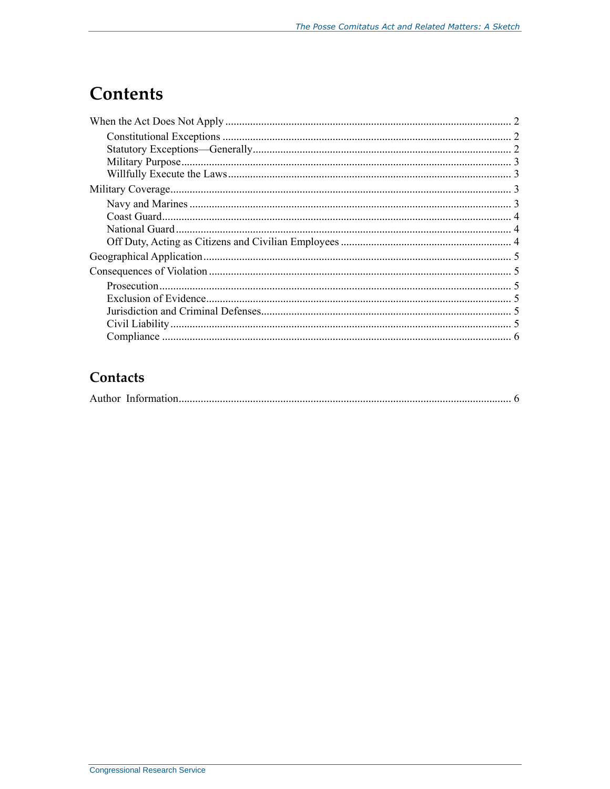### Contents

### Contacts

|--|--|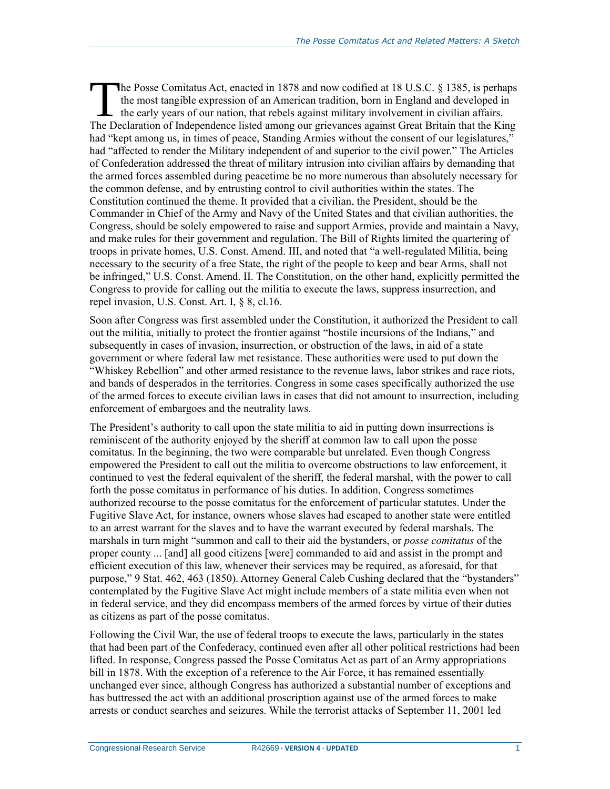he Posse Comitatus Act, enacted in 1878 and now codified at 18 U.S.C. § 1385, is perhaps the most tangible expression of an American tradition, born in England and developed in the early years of our nation, that rebels against military involvement in civilian affairs. The Posse Comitatus Act, enacted in 1878 and now codified at 18 U.S.C. § 1385, is perhaps the most tangible expression of an American tradition, born in England and developed in the early years of our nation, that rebels a had "kept among us, in times of peace, Standing Armies without the consent of our legislatures," had "affected to render the Military independent of and superior to the civil power." The Articles of Confederation addressed the threat of military intrusion into civilian affairs by demanding that the armed forces assembled during peacetime be no more numerous than absolutely necessary for the common defense, and by entrusting control to civil authorities within the states. The Constitution continued the theme. It provided that a civilian, the President, should be the Commander in Chief of the Army and Navy of the United States and that civilian authorities, the Congress, should be solely empowered to raise and support Armies, provide and maintain a Navy, and make rules for their government and regulation. The Bill of Rights limited the quartering of troops in private homes, U.S. Const. Amend. III, and noted that "a well-regulated Militia, being necessary to the security of a free State, the right of the people to keep and bear Arms, shall not be infringed," U.S. Const. Amend. II. The Constitution, on the other hand, explicitly permitted the Congress to provide for calling out the militia to execute the laws, suppress insurrection, and repel invasion, U.S. Const. Art. I, § 8, cl.16.

Soon after Congress was first assembled under the Constitution, it authorized the President to call out the militia, initially to protect the frontier against "hostile incursions of the Indians," and subsequently in cases of invasion, insurrection, or obstruction of the laws, in aid of a state government or where federal law met resistance. These authorities were used to put down the "Whiskey Rebellion" and other armed resistance to the revenue laws, labor strikes and race riots, and bands of desperados in the territories. Congress in some cases specifically authorized the use of the armed forces to execute civilian laws in cases that did not amount to insurrection, including enforcement of embargoes and the neutrality laws.

The President's authority to call upon the state militia to aid in putting down insurrections is reminiscent of the authority enjoyed by the sheriff at common law to call upon the posse comitatus. In the beginning, the two were comparable but unrelated. Even though Congress empowered the President to call out the militia to overcome obstructions to law enforcement, it continued to vest the federal equivalent of the sheriff, the federal marshal, with the power to call forth the posse comitatus in performance of his duties. In addition, Congress sometimes authorized recourse to the posse comitatus for the enforcement of particular statutes. Under the Fugitive Slave Act, for instance, owners whose slaves had escaped to another state were entitled to an arrest warrant for the slaves and to have the warrant executed by federal marshals. The marshals in turn might "summon and call to their aid the bystanders, or *posse comitatus* of the proper county ... [and] all good citizens [were] commanded to aid and assist in the prompt and efficient execution of this law, whenever their services may be required, as aforesaid, for that purpose," 9 Stat. 462, 463 (1850). Attorney General Caleb Cushing declared that the "bystanders" contemplated by the Fugitive Slave Act might include members of a state militia even when not in federal service, and they did encompass members of the armed forces by virtue of their duties as citizens as part of the posse comitatus.

Following the Civil War, the use of federal troops to execute the laws, particularly in the states that had been part of the Confederacy, continued even after all other political restrictions had been lifted. In response, Congress passed the Posse Comitatus Act as part of an Army appropriations bill in 1878. With the exception of a reference to the Air Force, it has remained essentially unchanged ever since, although Congress has authorized a substantial number of exceptions and has buttressed the act with an additional proscription against use of the armed forces to make arrests or conduct searches and seizures. While the terrorist attacks of September 11, 2001 led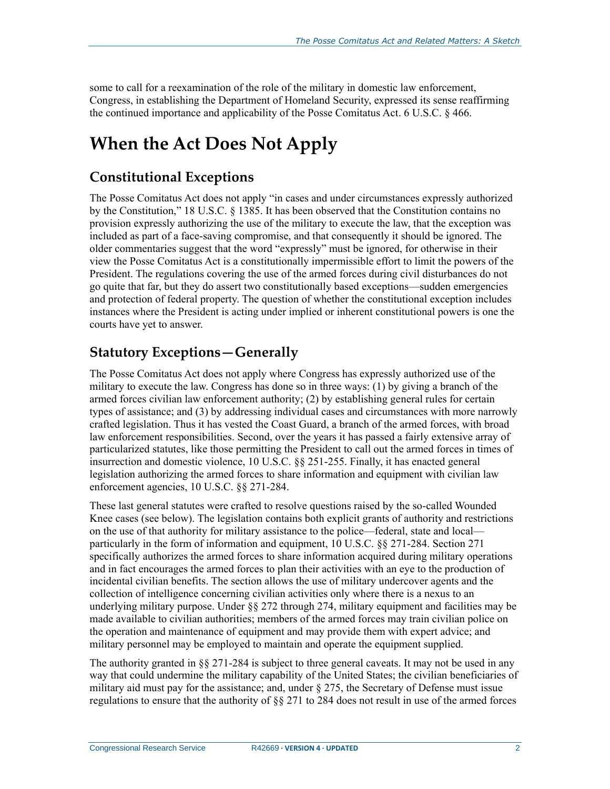some to call for a reexamination of the role of the military in domestic law enforcement, Congress, in establishing the Department of Homeland Security, expressed its sense reaffirming the continued importance and applicability of the Posse Comitatus Act. 6 U.S.C. § 466.

### <span id="page-4-0"></span>**When the Act Does Not Apply**

#### <span id="page-4-1"></span>**Constitutional Exceptions**

The Posse Comitatus Act does not apply "in cases and under circumstances expressly authorized by the Constitution," 18 U.S.C. § 1385. It has been observed that the Constitution contains no provision expressly authorizing the use of the military to execute the law, that the exception was included as part of a face-saving compromise, and that consequently it should be ignored. The older commentaries suggest that the word "expressly" must be ignored, for otherwise in their view the Posse Comitatus Act is a constitutionally impermissible effort to limit the powers of the President. The regulations covering the use of the armed forces during civil disturbances do not go quite that far, but they do assert two constitutionally based exceptions—sudden emergencies and protection of federal property. The question of whether the constitutional exception includes instances where the President is acting under implied or inherent constitutional powers is one the courts have yet to answer.

#### <span id="page-4-2"></span>**Statutory Exceptions—Generally**

The Posse Comitatus Act does not apply where Congress has expressly authorized use of the military to execute the law. Congress has done so in three ways: (1) by giving a branch of the armed forces civilian law enforcement authority; (2) by establishing general rules for certain types of assistance; and (3) by addressing individual cases and circumstances with more narrowly crafted legislation. Thus it has vested the Coast Guard, a branch of the armed forces, with broad law enforcement responsibilities. Second, over the years it has passed a fairly extensive array of particularized statutes, like those permitting the President to call out the armed forces in times of insurrection and domestic violence, 10 U.S.C. §§ 251-255. Finally, it has enacted general legislation authorizing the armed forces to share information and equipment with civilian law enforcement agencies, 10 U.S.C. §§ 271-284.

These last general statutes were crafted to resolve questions raised by the so-called Wounded Knee cases (see below). The legislation contains both explicit grants of authority and restrictions on the use of that authority for military assistance to the police—federal, state and local particularly in the form of information and equipment, 10 U.S.C. §§ 271-284. Section 271 specifically authorizes the armed forces to share information acquired during military operations and in fact encourages the armed forces to plan their activities with an eye to the production of incidental civilian benefits. The section allows the use of military undercover agents and the collection of intelligence concerning civilian activities only where there is a nexus to an underlying military purpose. Under §§ 272 through 274, military equipment and facilities may be made available to civilian authorities; members of the armed forces may train civilian police on the operation and maintenance of equipment and may provide them with expert advice; and military personnel may be employed to maintain and operate the equipment supplied.

The authority granted in §§ 271-284 is subject to three general caveats. It may not be used in any way that could undermine the military capability of the United States; the civilian beneficiaries of military aid must pay for the assistance; and, under § 275, the Secretary of Defense must issue regulations to ensure that the authority of §§ 271 to 284 does not result in use of the armed forces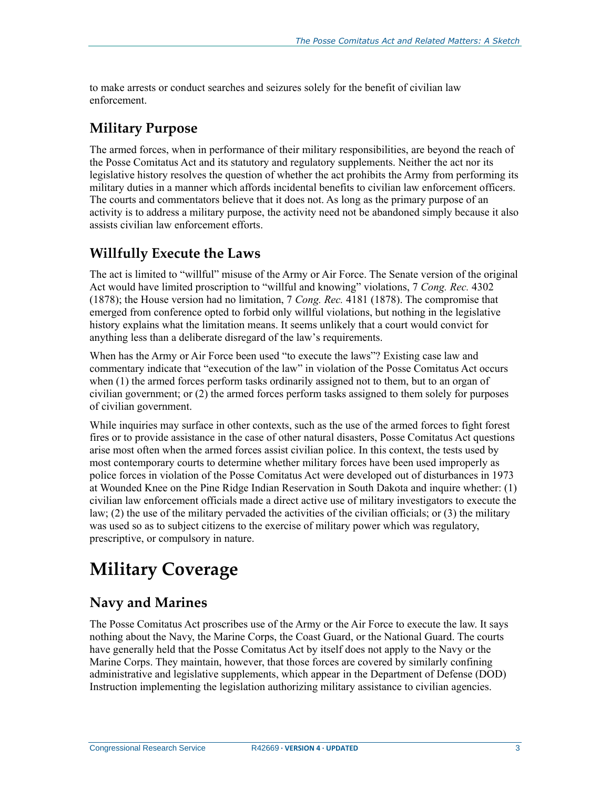to make arrests or conduct searches and seizures solely for the benefit of civilian law enforcement.

#### <span id="page-5-0"></span>**Military Purpose**

The armed forces, when in performance of their military responsibilities, are beyond the reach of the Posse Comitatus Act and its statutory and regulatory supplements. Neither the act nor its legislative history resolves the question of whether the act prohibits the Army from performing its military duties in a manner which affords incidental benefits to civilian law enforcement officers. The courts and commentators believe that it does not. As long as the primary purpose of an activity is to address a military purpose, the activity need not be abandoned simply because it also assists civilian law enforcement efforts.

#### <span id="page-5-1"></span>**Willfully Execute the Laws**

The act is limited to "willful" misuse of the Army or Air Force. The Senate version of the original Act would have limited proscription to "willful and knowing" violations, 7 *Cong. Rec.* 4302 (1878); the House version had no limitation, 7 *Cong. Rec.* 4181 (1878). The compromise that emerged from conference opted to forbid only willful violations, but nothing in the legislative history explains what the limitation means. It seems unlikely that a court would convict for anything less than a deliberate disregard of the law's requirements.

When has the Army or Air Force been used "to execute the laws"? Existing case law and commentary indicate that "execution of the law" in violation of the Posse Comitatus Act occurs when (1) the armed forces perform tasks ordinarily assigned not to them, but to an organ of civilian government; or (2) the armed forces perform tasks assigned to them solely for purposes of civilian government.

While inquiries may surface in other contexts, such as the use of the armed forces to fight forest fires or to provide assistance in the case of other natural disasters, Posse Comitatus Act questions arise most often when the armed forces assist civilian police. In this context, the tests used by most contemporary courts to determine whether military forces have been used improperly as police forces in violation of the Posse Comitatus Act were developed out of disturbances in 1973 at Wounded Knee on the Pine Ridge Indian Reservation in South Dakota and inquire whether: (1) civilian law enforcement officials made a direct active use of military investigators to execute the law; (2) the use of the military pervaded the activities of the civilian officials; or (3) the military was used so as to subject citizens to the exercise of military power which was regulatory, prescriptive, or compulsory in nature.

### <span id="page-5-2"></span>**Military Coverage**

#### <span id="page-5-3"></span>**Navy and Marines**

The Posse Comitatus Act proscribes use of the Army or the Air Force to execute the law. It says nothing about the Navy, the Marine Corps, the Coast Guard, or the National Guard. The courts have generally held that the Posse Comitatus Act by itself does not apply to the Navy or the Marine Corps. They maintain, however, that those forces are covered by similarly confining administrative and legislative supplements, which appear in the Department of Defense (DOD) Instruction implementing the legislation authorizing military assistance to civilian agencies.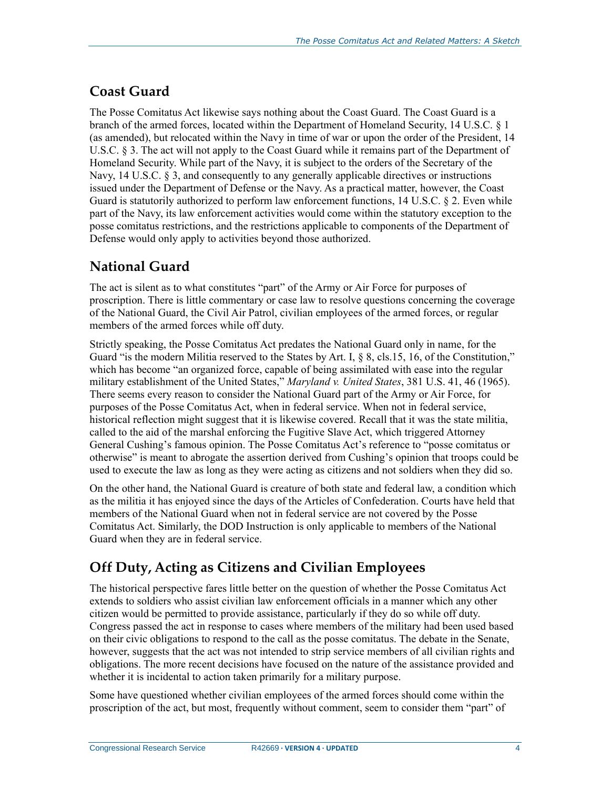#### <span id="page-6-0"></span>**Coast Guard**

The Posse Comitatus Act likewise says nothing about the Coast Guard. The Coast Guard is a branch of the armed forces, located within the Department of Homeland Security, 14 U.S.C. § 1 (as amended), but relocated within the Navy in time of war or upon the order of the President, 14 U.S.C. § 3. The act will not apply to the Coast Guard while it remains part of the Department of Homeland Security. While part of the Navy, it is subject to the orders of the Secretary of the Navy, 14 U.S.C. § 3, and consequently to any generally applicable directives or instructions issued under the Department of Defense or the Navy. As a practical matter, however, the Coast Guard is statutorily authorized to perform law enforcement functions, 14 U.S.C. § 2. Even while part of the Navy, its law enforcement activities would come within the statutory exception to the posse comitatus restrictions, and the restrictions applicable to components of the Department of Defense would only apply to activities beyond those authorized.

#### <span id="page-6-1"></span>**National Guard**

The act is silent as to what constitutes "part" of the Army or Air Force for purposes of proscription. There is little commentary or case law to resolve questions concerning the coverage of the National Guard, the Civil Air Patrol, civilian employees of the armed forces, or regular members of the armed forces while off duty.

Strictly speaking, the Posse Comitatus Act predates the National Guard only in name, for the Guard "is the modern Militia reserved to the States by Art. I, § 8, cls.15, 16, of the Constitution," which has become "an organized force, capable of being assimilated with ease into the regular military establishment of the United States," *Maryland v. United States*, 381 U.S. 41, 46 (1965). There seems every reason to consider the National Guard part of the Army or Air Force, for purposes of the Posse Comitatus Act, when in federal service. When not in federal service, historical reflection might suggest that it is likewise covered. Recall that it was the state militia, called to the aid of the marshal enforcing the Fugitive Slave Act, which triggered Attorney General Cushing's famous opinion. The Posse Comitatus Act's reference to "posse comitatus or otherwise" is meant to abrogate the assertion derived from Cushing's opinion that troops could be used to execute the law as long as they were acting as citizens and not soldiers when they did so.

On the other hand, the National Guard is creature of both state and federal law, a condition which as the militia it has enjoyed since the days of the Articles of Confederation. Courts have held that members of the National Guard when not in federal service are not covered by the Posse Comitatus Act. Similarly, the DOD Instruction is only applicable to members of the National Guard when they are in federal service.

### <span id="page-6-2"></span>**Off Duty, Acting as Citizens and Civilian Employees**

The historical perspective fares little better on the question of whether the Posse Comitatus Act extends to soldiers who assist civilian law enforcement officials in a manner which any other citizen would be permitted to provide assistance, particularly if they do so while off duty. Congress passed the act in response to cases where members of the military had been used based on their civic obligations to respond to the call as the posse comitatus. The debate in the Senate, however, suggests that the act was not intended to strip service members of all civilian rights and obligations. The more recent decisions have focused on the nature of the assistance provided and whether it is incidental to action taken primarily for a military purpose.

Some have questioned whether civilian employees of the armed forces should come within the proscription of the act, but most, frequently without comment, seem to consider them "part" of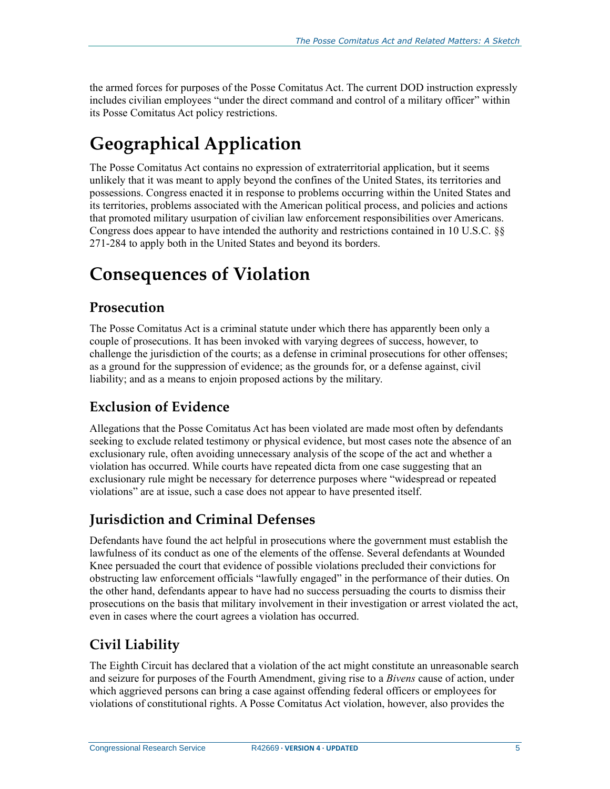the armed forces for purposes of the Posse Comitatus Act. The current DOD instruction expressly includes civilian employees "under the direct command and control of a military officer" within its Posse Comitatus Act policy restrictions.

# <span id="page-7-0"></span>**Geographical Application**

The Posse Comitatus Act contains no expression of extraterritorial application, but it seems unlikely that it was meant to apply beyond the confines of the United States, its territories and possessions. Congress enacted it in response to problems occurring within the United States and its territories, problems associated with the American political process, and policies and actions that promoted military usurpation of civilian law enforcement responsibilities over Americans. Congress does appear to have intended the authority and restrictions contained in 10 U.S.C. §§ 271-284 to apply both in the United States and beyond its borders.

### <span id="page-7-1"></span>**Consequences of Violation**

#### <span id="page-7-2"></span>**Prosecution**

The Posse Comitatus Act is a criminal statute under which there has apparently been only a couple of prosecutions. It has been invoked with varying degrees of success, however, to challenge the jurisdiction of the courts; as a defense in criminal prosecutions for other offenses; as a ground for the suppression of evidence; as the grounds for, or a defense against, civil liability; and as a means to enjoin proposed actions by the military.

#### <span id="page-7-3"></span>**Exclusion of Evidence**

Allegations that the Posse Comitatus Act has been violated are made most often by defendants seeking to exclude related testimony or physical evidence, but most cases note the absence of an exclusionary rule, often avoiding unnecessary analysis of the scope of the act and whether a violation has occurred. While courts have repeated dicta from one case suggesting that an exclusionary rule might be necessary for deterrence purposes where "widespread or repeated violations" are at issue, such a case does not appear to have presented itself.

#### <span id="page-7-4"></span>**Jurisdiction and Criminal Defenses**

Defendants have found the act helpful in prosecutions where the government must establish the lawfulness of its conduct as one of the elements of the offense. Several defendants at Wounded Knee persuaded the court that evidence of possible violations precluded their convictions for obstructing law enforcement officials "lawfully engaged" in the performance of their duties. On the other hand, defendants appear to have had no success persuading the courts to dismiss their prosecutions on the basis that military involvement in their investigation or arrest violated the act, even in cases where the court agrees a violation has occurred.

#### <span id="page-7-5"></span>**Civil Liability**

The Eighth Circuit has declared that a violation of the act might constitute an unreasonable search and seizure for purposes of the Fourth Amendment, giving rise to a *Bivens* cause of action, under which aggrieved persons can bring a case against offending federal officers or employees for violations of constitutional rights. A Posse Comitatus Act violation, however, also provides the